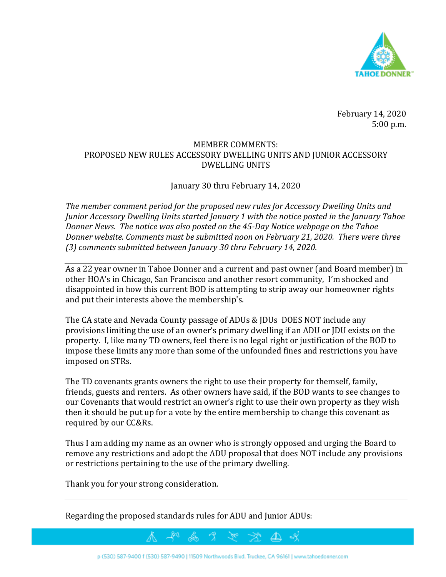

February 14, 2020 5:00 p.m.

## MEMBER COMMENTS: PROPOSED NEW RULES ACCESSORY DWELLING UNITS AND JUNIOR ACCESSORY DWELLING UNITS

## January 30 thru February 14, 2020

*The member comment period for the proposed new rules for Accessory Dwelling Units and Junior Accessory Dwelling Units started January 1 with the notice posted in the January Tahoe Donner News. The notice was also posted on the 45-Day Notice webpage on the Tahoe Donner website. Comments must be submitted noon on February 21, 2020. There were three (3) comments submitted between January 30 thru February 14, 2020.* 

As a 22 year owner in Tahoe Donner and a current and past owner (and Board member) in other HOA's in Chicago, San Francisco and another resort community, I'm shocked and disappointed in how this current BOD is attempting to strip away our homeowner rights and put their interests above the membership's.

The CA state and Nevada County passage of ADUs & JDUs DOES NOT include any provisions limiting the use of an owner's primary dwelling if an ADU or JDU exists on the property. I, like many TD owners, feel there is no legal right or justification of the BOD to impose these limits any more than some of the unfounded fines and restrictions you have imposed on STRs.

The TD covenants grants owners the right to use their property for themself, family, friends, guests and renters. As other owners have said, if the BOD wants to see changes to our Covenants that would restrict an owner's right to use their own property as they wish then it should be put up for a vote by the entire membership to change this covenant as required by our CC&Rs.

Thus I am adding my name as an owner who is strongly opposed and urging the Board to remove any restrictions and adopt the ADU proposal that does NOT include any provisions or restrictions pertaining to the use of the primary dwelling.

Thank you for your strong consideration.

Regarding the proposed standards rules for ADU and Junior ADUs: